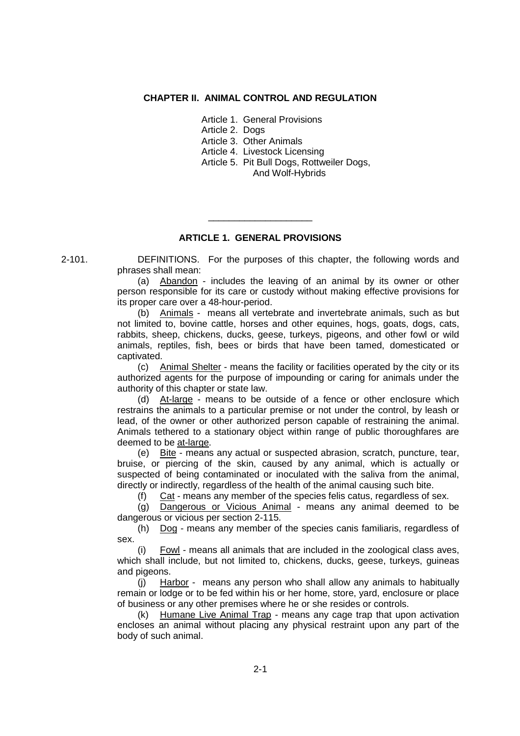### **CHAPTER II. ANIMAL CONTROL AND REGULATION**

Article 1. General Provisions

Article 2. Dogs

Article 3. Other Animals

Article 4. Livestock Licensing

Article 5. Pit Bull Dogs, Rottweiler Dogs, And Wolf-Hybrids

## **ARTICLE 1. GENERAL PROVISIONS**

\_\_\_\_\_\_\_\_\_\_\_\_\_\_\_\_\_\_\_\_

2-101. DEFINITIONS. For the purposes of this chapter, the following words and phrases shall mean:

> (a) Abandon - includes the leaving of an animal by its owner or other person responsible for its care or custody without making effective provisions for its proper care over a 48-hour-period.

> (b) Animals - means all vertebrate and invertebrate animals, such as but not limited to, bovine cattle, horses and other equines, hogs, goats, dogs, cats, rabbits, sheep, chickens, ducks, geese, turkeys, pigeons, and other fowl or wild animals, reptiles, fish, bees or birds that have been tamed, domesticated or captivated.

> (c) Animal Shelter - means the facility or facilities operated by the city or its authorized agents for the purpose of impounding or caring for animals under the authority of this chapter or state law.

> (d) At-large - means to be outside of a fence or other enclosure which restrains the animals to a particular premise or not under the control, by leash or lead, of the owner or other authorized person capable of restraining the animal. Animals tethered to a stationary object within range of public thoroughfares are deemed to be at-large.

> (e) Bite - means any actual or suspected abrasion, scratch, puncture, tear, bruise, or piercing of the skin, caused by any animal, which is actually or suspected of being contaminated or inoculated with the saliva from the animal, directly or indirectly, regardless of the health of the animal causing such bite.

(f) Cat - means any member of the species felis catus, regardless of sex.

(g) Dangerous or Vicious Animal - means any animal deemed to be dangerous or vicious per section 2-115.

(h) Dog - means any member of the species canis familiaris, regardless of sex.

(i) Fowl - means all animals that are included in the zoological class aves, which shall include, but not limited to, chickens, ducks, geese, turkeys, guineas and pigeons.

(j) Harbor - means any person who shall allow any animals to habitually remain or lodge or to be fed within his or her home, store, yard, enclosure or place of business or any other premises where he or she resides or controls.

(k) Humane Live Animal Trap - means any cage trap that upon activation encloses an animal without placing any physical restraint upon any part of the body of such animal.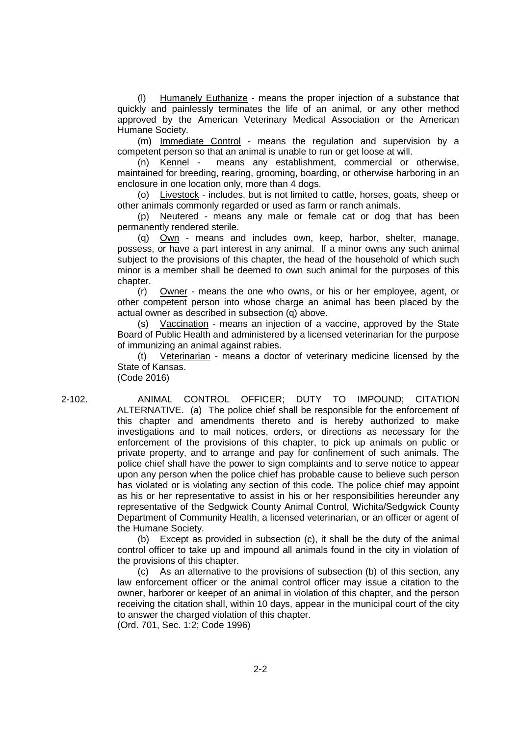(l) Humanely Euthanize - means the proper injection of a substance that quickly and painlessly terminates the life of an animal, or any other method approved by the American Veterinary Medical Association or the American Humane Society.

(m) Immediate Control - means the regulation and supervision by a competent person so that an animal is unable to run or get loose at will.

(n) Kennel - means any establishment, commercial or otherwise, maintained for breeding, rearing, grooming, boarding, or otherwise harboring in an enclosure in one location only, more than 4 dogs.

(o) Livestock - includes, but is not limited to cattle, horses, goats, sheep or other animals commonly regarded or used as farm or ranch animals.

(p) Neutered - means any male or female cat or dog that has been permanently rendered sterile.

(q) Own - means and includes own, keep, harbor, shelter, manage, possess, or have a part interest in any animal. If a minor owns any such animal subject to the provisions of this chapter, the head of the household of which such minor is a member shall be deemed to own such animal for the purposes of this chapter.

(r) Owner - means the one who owns, or his or her employee, agent, or other competent person into whose charge an animal has been placed by the actual owner as described in subsection (q) above.

(s) Vaccination - means an injection of a vaccine, approved by the State Board of Public Health and administered by a licensed veterinarian for the purpose of immunizing an animal against rabies.

(t) Veterinarian - means a doctor of veterinary medicine licensed by the State of Kansas.

(Code 2016)

2-102. ANIMAL CONTROL OFFICER; DUTY TO IMPOUND; CITATION ALTERNATIVE. (a) The police chief shall be responsible for the enforcement of this chapter and amendments thereto and is hereby authorized to make investigations and to mail notices, orders, or directions as necessary for the enforcement of the provisions of this chapter, to pick up animals on public or private property, and to arrange and pay for confinement of such animals. The police chief shall have the power to sign complaints and to serve notice to appear upon any person when the police chief has probable cause to believe such person has violated or is violating any section of this code. The police chief may appoint as his or her representative to assist in his or her responsibilities hereunder any representative of the Sedgwick County Animal Control, Wichita/Sedgwick County Department of Community Health, a licensed veterinarian, or an officer or agent of the Humane Society.

> (b) Except as provided in subsection (c), it shall be the duty of the animal control officer to take up and impound all animals found in the city in violation of the provisions of this chapter.

> (c) As an alternative to the provisions of subsection (b) of this section, any law enforcement officer or the animal control officer may issue a citation to the owner, harborer or keeper of an animal in violation of this chapter, and the person receiving the citation shall, within 10 days, appear in the municipal court of the city to answer the charged violation of this chapter. (Ord. 701, Sec. 1:2; Code 1996)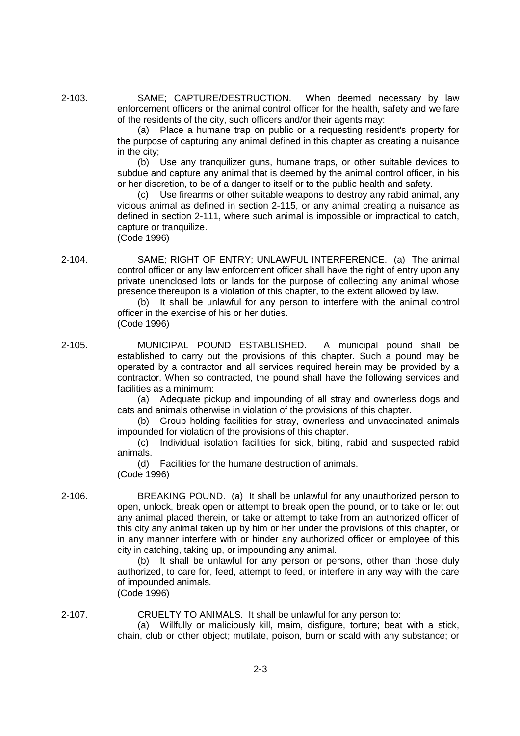2-103. SAME; CAPTURE/DESTRUCTION. When deemed necessary by law enforcement officers or the animal control officer for the health, safety and welfare of the residents of the city, such officers and/or their agents may:

> (a) Place a humane trap on public or a requesting resident's property for the purpose of capturing any animal defined in this chapter as creating a nuisance in the city;

> (b) Use any tranquilizer guns, humane traps, or other suitable devices to subdue and capture any animal that is deemed by the animal control officer, in his or her discretion, to be of a danger to itself or to the public health and safety.

> (c) Use firearms or other suitable weapons to destroy any rabid animal, any vicious animal as defined in section 2-115, or any animal creating a nuisance as defined in section 2-111, where such animal is impossible or impractical to catch, capture or tranquilize. (Code 1996)

2-104. SAME; RIGHT OF ENTRY; UNLAWFUL INTERFERENCE. (a) The animal control officer or any law enforcement officer shall have the right of entry upon any private unenclosed lots or lands for the purpose of collecting any animal whose presence thereupon is a violation of this chapter, to the extent allowed by law.

(b) It shall be unlawful for any person to interfere with the animal control officer in the exercise of his or her duties. (Code 1996)

2-105. MUNICIPAL POUND ESTABLISHED. A municipal pound shall be established to carry out the provisions of this chapter. Such a pound may be operated by a contractor and all services required herein may be provided by a contractor. When so contracted, the pound shall have the following services and facilities as a minimum:

(a) Adequate pickup and impounding of all stray and ownerless dogs and cats and animals otherwise in violation of the provisions of this chapter.

(b) Group holding facilities for stray, ownerless and unvaccinated animals impounded for violation of the provisions of this chapter.

(c) Individual isolation facilities for sick, biting, rabid and suspected rabid animals.

(d) Facilities for the humane destruction of animals. (Code 1996)

2-106. BREAKING POUND. (a) It shall be unlawful for any unauthorized person to open, unlock, break open or attempt to break open the pound, or to take or let out any animal placed therein, or take or attempt to take from an authorized officer of this city any animal taken up by him or her under the provisions of this chapter, or in any manner interfere with or hinder any authorized officer or employee of this city in catching, taking up, or impounding any animal.

> (b) It shall be unlawful for any person or persons, other than those duly authorized, to care for, feed, attempt to feed, or interfere in any way with the care of impounded animals.

(Code 1996)

2-107. CRUELTY TO ANIMALS. It shall be unlawful for any person to: (a) Willfully or maliciously kill, maim, disfigure, torture; beat with a stick, chain, club or other object; mutilate, poison, burn or scald with any substance; or

2-3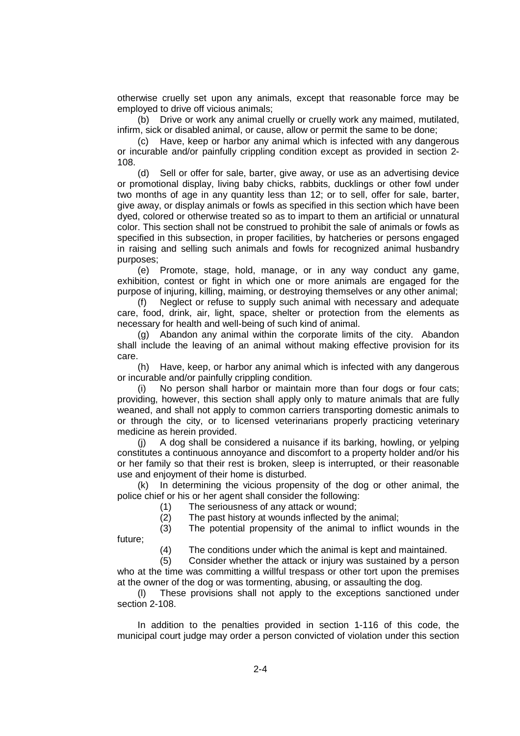otherwise cruelly set upon any animals, except that reasonable force may be employed to drive off vicious animals;

(b) Drive or work any animal cruelly or cruelly work any maimed, mutilated, infirm, sick or disabled animal, or cause, allow or permit the same to be done;

(c) Have, keep or harbor any animal which is infected with any dangerous or incurable and/or painfully crippling condition except as provided in section 2- 108.

(d) Sell or offer for sale, barter, give away, or use as an advertising device or promotional display, living baby chicks, rabbits, ducklings or other fowl under two months of age in any quantity less than 12; or to sell, offer for sale, barter, give away, or display animals or fowls as specified in this section which have been dyed, colored or otherwise treated so as to impart to them an artificial or unnatural color. This section shall not be construed to prohibit the sale of animals or fowls as specified in this subsection, in proper facilities, by hatcheries or persons engaged in raising and selling such animals and fowls for recognized animal husbandry purposes;

(e) Promote, stage, hold, manage, or in any way conduct any game, exhibition, contest or fight in which one or more animals are engaged for the purpose of injuring, killing, maiming, or destroying themselves or any other animal;

(f) Neglect or refuse to supply such animal with necessary and adequate care, food, drink, air, light, space, shelter or protection from the elements as necessary for health and well-being of such kind of animal.

(g) Abandon any animal within the corporate limits of the city. Abandon shall include the leaving of an animal without making effective provision for its care.

(h) Have, keep, or harbor any animal which is infected with any dangerous or incurable and/or painfully crippling condition.

(i) No person shall harbor or maintain more than four dogs or four cats; providing, however, this section shall apply only to mature animals that are fully weaned, and shall not apply to common carriers transporting domestic animals to or through the city, or to licensed veterinarians properly practicing veterinary medicine as herein provided.

(j) A dog shall be considered a nuisance if its barking, howling, or yelping constitutes a continuous annoyance and discomfort to a property holder and/or his or her family so that their rest is broken, sleep is interrupted, or their reasonable use and enjoyment of their home is disturbed.

(k) In determining the vicious propensity of the dog or other animal, the police chief or his or her agent shall consider the following:

(1) The seriousness of any attack or wound;

(2) The past history at wounds inflected by the animal;

(3) The potential propensity of the animal to inflict wounds in the future;

(4) The conditions under which the animal is kept and maintained.

(5) Consider whether the attack or injury was sustained by a person who at the time was committing a willful trespass or other tort upon the premises at the owner of the dog or was tormenting, abusing, or assaulting the dog.

(l) These provisions shall not apply to the exceptions sanctioned under section 2-108.

In addition to the penalties provided in section 1-116 of this code, the municipal court judge may order a person convicted of violation under this section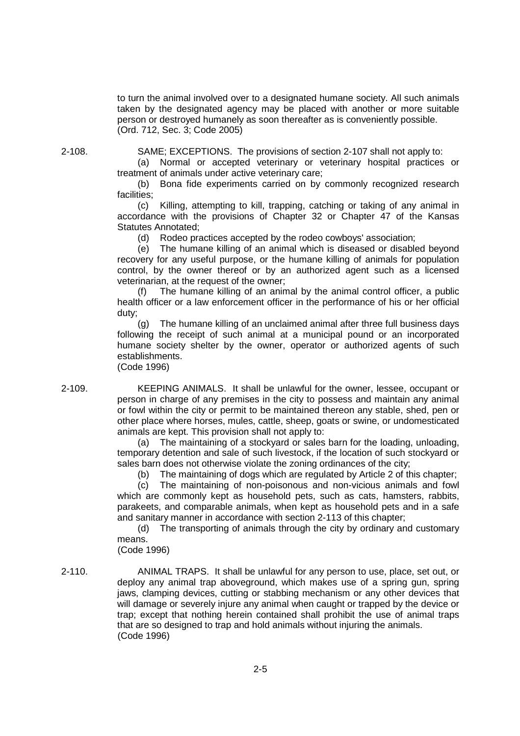to turn the animal involved over to a designated humane society. All such animals taken by the designated agency may be placed with another or more suitable person or destroyed humanely as soon thereafter as is conveniently possible. (Ord. 712, Sec. 3; Code 2005)

2-108. SAME; EXCEPTIONS. The provisions of section 2-107 shall not apply to:

(a) Normal or accepted veterinary or veterinary hospital practices or treatment of animals under active veterinary care;

(b) Bona fide experiments carried on by commonly recognized research facilities;

(c) Killing, attempting to kill, trapping, catching or taking of any animal in accordance with the provisions of Chapter 32 or Chapter 47 of the Kansas Statutes Annotated;

(d) Rodeo practices accepted by the rodeo cowboys' association;

(e) The humane killing of an animal which is diseased or disabled beyond recovery for any useful purpose, or the humane killing of animals for population control, by the owner thereof or by an authorized agent such as a licensed veterinarian, at the request of the owner;

(f) The humane killing of an animal by the animal control officer, a public health officer or a law enforcement officer in the performance of his or her official duty;

(g) The humane killing of an unclaimed animal after three full business days following the receipt of such animal at a municipal pound or an incorporated humane society shelter by the owner, operator or authorized agents of such establishments.

(Code 1996)

2-109. KEEPING ANIMALS. It shall be unlawful for the owner, lessee, occupant or person in charge of any premises in the city to possess and maintain any animal or fowl within the city or permit to be maintained thereon any stable, shed, pen or other place where horses, mules, cattle, sheep, goats or swine, or undomesticated animals are kept. This provision shall not apply to:

(a) The maintaining of a stockyard or sales barn for the loading, unloading, temporary detention and sale of such livestock, if the location of such stockyard or sales barn does not otherwise violate the zoning ordinances of the city;

(b) The maintaining of dogs which are regulated by Article 2 of this chapter;

(c) The maintaining of non-poisonous and non-vicious animals and fowl which are commonly kept as household pets, such as cats, hamsters, rabbits, parakeets, and comparable animals, when kept as household pets and in a safe and sanitary manner in accordance with section 2-113 of this chapter;

(d) The transporting of animals through the city by ordinary and customary means.

(Code 1996)

2-110. ANIMAL TRAPS. It shall be unlawful for any person to use, place, set out, or deploy any animal trap aboveground, which makes use of a spring gun, spring jaws, clamping devices, cutting or stabbing mechanism or any other devices that will damage or severely injure any animal when caught or trapped by the device or trap; except that nothing herein contained shall prohibit the use of animal traps that are so designed to trap and hold animals without injuring the animals. (Code 1996)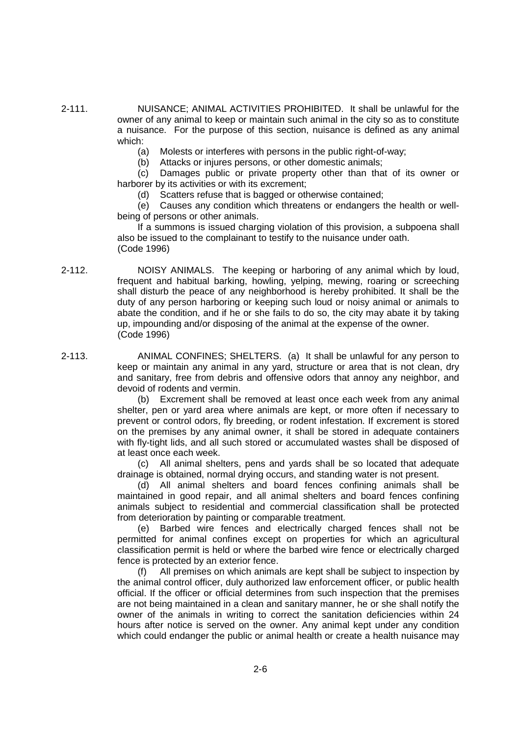2-111. NUISANCE; ANIMAL ACTIVITIES PROHIBITED. It shall be unlawful for the owner of any animal to keep or maintain such animal in the city so as to constitute a nuisance. For the purpose of this section, nuisance is defined as any animal which:

- (a) Molests or interferes with persons in the public right-of-way:
- (b) Attacks or injures persons, or other domestic animals;

(c) Damages public or private property other than that of its owner or harborer by its activities or with its excrement;

(d) Scatters refuse that is bagged or otherwise contained;

(e) Causes any condition which threatens or endangers the health or wellbeing of persons or other animals.

If a summons is issued charging violation of this provision, a subpoena shall also be issued to the complainant to testify to the nuisance under oath. (Code 1996)

2-112. NOISY ANIMALS. The keeping or harboring of any animal which by loud, frequent and habitual barking, howling, yelping, mewing, roaring or screeching shall disturb the peace of any neighborhood is hereby prohibited. It shall be the duty of any person harboring or keeping such loud or noisy animal or animals to abate the condition, and if he or she fails to do so, the city may abate it by taking up, impounding and/or disposing of the animal at the expense of the owner. (Code 1996)

2-113. ANIMAL CONFINES; SHELTERS. (a) It shall be unlawful for any person to keep or maintain any animal in any yard, structure or area that is not clean, dry and sanitary, free from debris and offensive odors that annoy any neighbor, and devoid of rodents and vermin.

> (b) Excrement shall be removed at least once each week from any animal shelter, pen or yard area where animals are kept, or more often if necessary to prevent or control odors, fly breeding, or rodent infestation. If excrement is stored on the premises by any animal owner, it shall be stored in adequate containers with fly-tight lids, and all such stored or accumulated wastes shall be disposed of at least once each week.

> (c) All animal shelters, pens and yards shall be so located that adequate drainage is obtained, normal drying occurs, and standing water is not present.

> (d) All animal shelters and board fences confining animals shall be maintained in good repair, and all animal shelters and board fences confining animals subject to residential and commercial classification shall be protected from deterioration by painting or comparable treatment.

> (e) Barbed wire fences and electrically charged fences shall not be permitted for animal confines except on properties for which an agricultural classification permit is held or where the barbed wire fence or electrically charged fence is protected by an exterior fence.

> (f) All premises on which animals are kept shall be subject to inspection by the animal control officer, duly authorized law enforcement officer, or public health official. If the officer or official determines from such inspection that the premises are not being maintained in a clean and sanitary manner, he or she shall notify the owner of the animals in writing to correct the sanitation deficiencies within 24 hours after notice is served on the owner. Any animal kept under any condition which could endanger the public or animal health or create a health nuisance may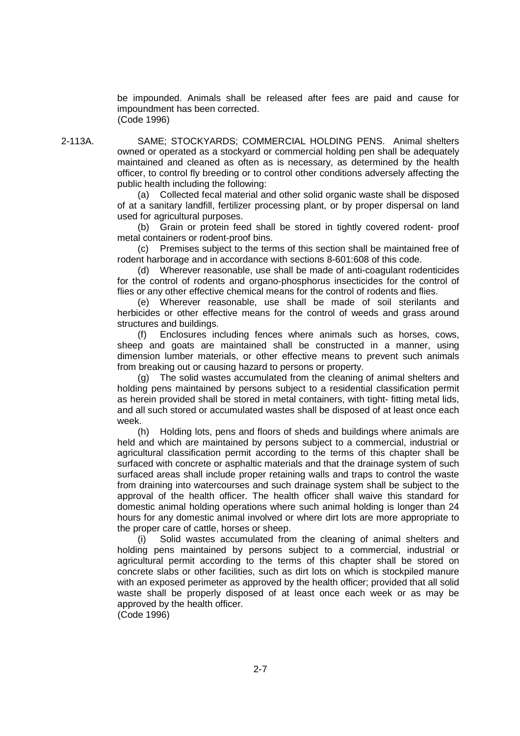be impounded. Animals shall be released after fees are paid and cause for impoundment has been corrected. (Code 1996)

2-113A. SAME; STOCKYARDS; COMMERCIAL HOLDING PENS. Animal shelters owned or operated as a stockyard or commercial holding pen shall be adequately maintained and cleaned as often as is necessary, as determined by the health officer, to control fly breeding or to control other conditions adversely affecting the public health including the following:

> (a) Collected fecal material and other solid organic waste shall be disposed of at a sanitary landfill, fertilizer processing plant, or by proper dispersal on land used for agricultural purposes.

> (b) Grain or protein feed shall be stored in tightly covered rodent- proof metal containers or rodent-proof bins.

> (c) Premises subject to the terms of this section shall be maintained free of rodent harborage and in accordance with sections 8-601:608 of this code.

> (d) Wherever reasonable, use shall be made of anti-coagulant rodenticides for the control of rodents and organo-phosphorus insecticides for the control of flies or any other effective chemical means for the control of rodents and flies.

> (e) Wherever reasonable, use shall be made of soil sterilants and herbicides or other effective means for the control of weeds and grass around structures and buildings.

> (f) Enclosures including fences where animals such as horses, cows, sheep and goats are maintained shall be constructed in a manner, using dimension lumber materials, or other effective means to prevent such animals from breaking out or causing hazard to persons or property.

> (g) The solid wastes accumulated from the cleaning of animal shelters and holding pens maintained by persons subject to a residential classification permit as herein provided shall be stored in metal containers, with tight- fitting metal lids, and all such stored or accumulated wastes shall be disposed of at least once each week.

> (h) Holding lots, pens and floors of sheds and buildings where animals are held and which are maintained by persons subject to a commercial, industrial or agricultural classification permit according to the terms of this chapter shall be surfaced with concrete or asphaltic materials and that the drainage system of such surfaced areas shall include proper retaining walls and traps to control the waste from draining into watercourses and such drainage system shall be subject to the approval of the health officer. The health officer shall waive this standard for domestic animal holding operations where such animal holding is longer than 24 hours for any domestic animal involved or where dirt lots are more appropriate to the proper care of cattle, horses or sheep.

> (i) Solid wastes accumulated from the cleaning of animal shelters and holding pens maintained by persons subject to a commercial, industrial or agricultural permit according to the terms of this chapter shall be stored on concrete slabs or other facilities, such as dirt lots on which is stockpiled manure with an exposed perimeter as approved by the health officer; provided that all solid waste shall be properly disposed of at least once each week or as may be approved by the health officer.

(Code 1996)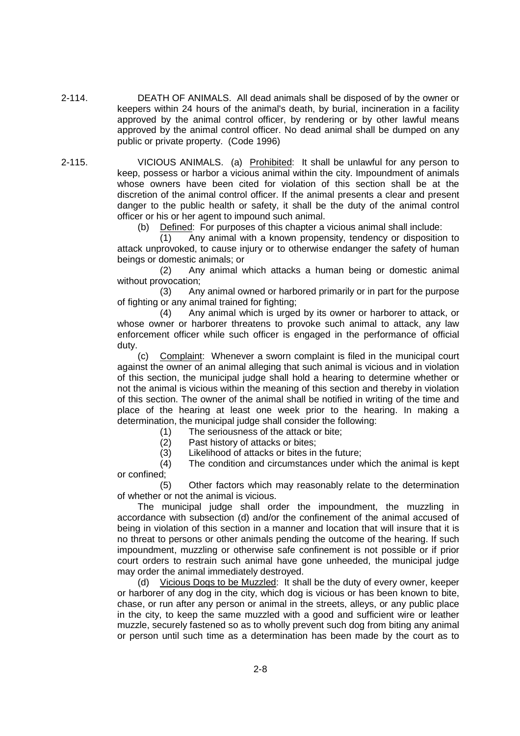2-114. DEATH OF ANIMALS. All dead animals shall be disposed of by the owner or keepers within 24 hours of the animal's death, by burial, incineration in a facility approved by the animal control officer, by rendering or by other lawful means approved by the animal control officer. No dead animal shall be dumped on any public or private property. (Code 1996)

2-115. VICIOUS ANIMALS. (a) Prohibited: It shall be unlawful for any person to keep, possess or harbor a vicious animal within the city. Impoundment of animals whose owners have been cited for violation of this section shall be at the discretion of the animal control officer. If the animal presents a clear and present danger to the public health or safety, it shall be the duty of the animal control officer or his or her agent to impound such animal.

(b) Defined: For purposes of this chapter a vicious animal shall include:

(1) Any animal with a known propensity, tendency or disposition to attack unprovoked, to cause injury or to otherwise endanger the safety of human beings or domestic animals; or

(2) Any animal which attacks a human being or domestic animal without provocation;

(3) Any animal owned or harbored primarily or in part for the purpose of fighting or any animal trained for fighting;

(4) Any animal which is urged by its owner or harborer to attack, or whose owner or harborer threatens to provoke such animal to attack, any law enforcement officer while such officer is engaged in the performance of official duty.

(c) Complaint: Whenever a sworn complaint is filed in the municipal court against the owner of an animal alleging that such animal is vicious and in violation of this section, the municipal judge shall hold a hearing to determine whether or not the animal is vicious within the meaning of this section and thereby in violation of this section. The owner of the animal shall be notified in writing of the time and place of the hearing at least one week prior to the hearing. In making a determination, the municipal judge shall consider the following:

(1) The seriousness of the attack or bite;

(2) Past history of attacks or bites;

(3) Likelihood of attacks or bites in the future;

(4) The condition and circumstances under which the animal is kept or confined;

(5) Other factors which may reasonably relate to the determination of whether or not the animal is vicious.

The municipal judge shall order the impoundment, the muzzling in accordance with subsection (d) and/or the confinement of the animal accused of being in violation of this section in a manner and location that will insure that it is no threat to persons or other animals pending the outcome of the hearing. If such impoundment, muzzling or otherwise safe confinement is not possible or if prior court orders to restrain such animal have gone unheeded, the municipal judge may order the animal immediately destroyed.

(d) Vicious Dogs to be Muzzled: It shall be the duty of every owner, keeper or harborer of any dog in the city, which dog is vicious or has been known to bite, chase, or run after any person or animal in the streets, alleys, or any public place in the city, to keep the same muzzled with a good and sufficient wire or leather muzzle, securely fastened so as to wholly prevent such dog from biting any animal or person until such time as a determination has been made by the court as to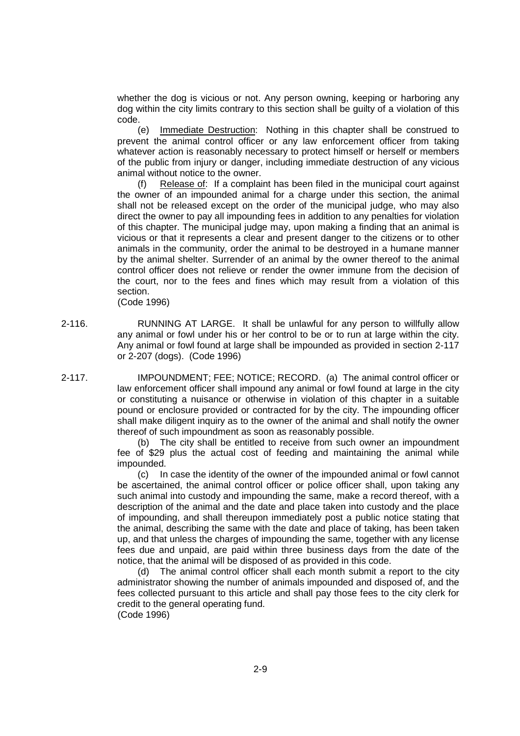whether the dog is vicious or not. Any person owning, keeping or harboring any dog within the city limits contrary to this section shall be guilty of a violation of this code.

(e) Immediate Destruction: Nothing in this chapter shall be construed to prevent the animal control officer or any law enforcement officer from taking whatever action is reasonably necessary to protect himself or herself or members of the public from injury or danger, including immediate destruction of any vicious animal without notice to the owner.

(f) Release of: If a complaint has been filed in the municipal court against the owner of an impounded animal for a charge under this section, the animal shall not be released except on the order of the municipal judge, who may also direct the owner to pay all impounding fees in addition to any penalties for violation of this chapter. The municipal judge may, upon making a finding that an animal is vicious or that it represents a clear and present danger to the citizens or to other animals in the community, order the animal to be destroyed in a humane manner by the animal shelter. Surrender of an animal by the owner thereof to the animal control officer does not relieve or render the owner immune from the decision of the court, nor to the fees and fines which may result from a violation of this section.

(Code 1996)

- 2-116. RUNNING AT LARGE. It shall be unlawful for any person to willfully allow any animal or fowl under his or her control to be or to run at large within the city. Any animal or fowl found at large shall be impounded as provided in section 2-117 or 2-207 (dogs). (Code 1996)
- 2-117. IMPOUNDMENT; FEE; NOTICE; RECORD. (a) The animal control officer or law enforcement officer shall impound any animal or fowl found at large in the city or constituting a nuisance or otherwise in violation of this chapter in a suitable pound or enclosure provided or contracted for by the city. The impounding officer shall make diligent inquiry as to the owner of the animal and shall notify the owner thereof of such impoundment as soon as reasonably possible.

(b) The city shall be entitled to receive from such owner an impoundment fee of \$29 plus the actual cost of feeding and maintaining the animal while impounded.

(c) In case the identity of the owner of the impounded animal or fowl cannot be ascertained, the animal control officer or police officer shall, upon taking any such animal into custody and impounding the same, make a record thereof, with a description of the animal and the date and place taken into custody and the place of impounding, and shall thereupon immediately post a public notice stating that the animal, describing the same with the date and place of taking, has been taken up, and that unless the charges of impounding the same, together with any license fees due and unpaid, are paid within three business days from the date of the notice, that the animal will be disposed of as provided in this code.

(d) The animal control officer shall each month submit a report to the city administrator showing the number of animals impounded and disposed of, and the fees collected pursuant to this article and shall pay those fees to the city clerk for credit to the general operating fund. (Code 1996)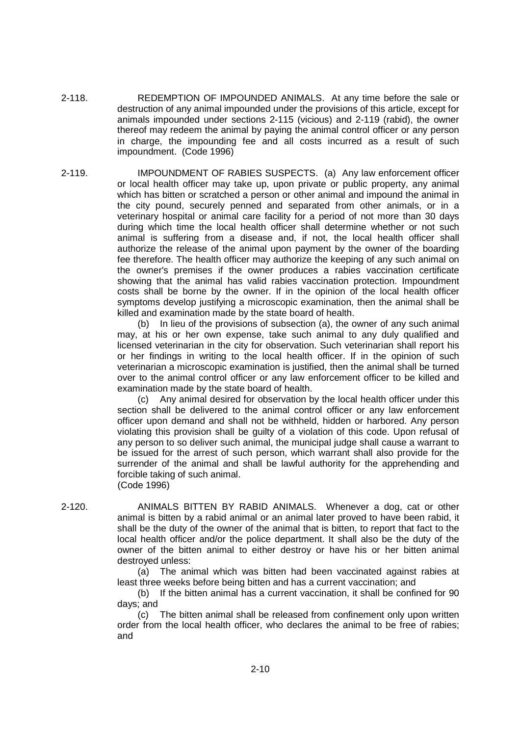2-118. REDEMPTION OF IMPOUNDED ANIMALS. At any time before the sale or destruction of any animal impounded under the provisions of this article, except for animals impounded under sections 2-115 (vicious) and 2-119 (rabid), the owner thereof may redeem the animal by paying the animal control officer or any person in charge, the impounding fee and all costs incurred as a result of such impoundment. (Code 1996)

2-119. IMPOUNDMENT OF RABIES SUSPECTS. (a) Any law enforcement officer or local health officer may take up, upon private or public property, any animal which has bitten or scratched a person or other animal and impound the animal in the city pound, securely penned and separated from other animals, or in a veterinary hospital or animal care facility for a period of not more than 30 days during which time the local health officer shall determine whether or not such animal is suffering from a disease and, if not, the local health officer shall authorize the release of the animal upon payment by the owner of the boarding fee therefore. The health officer may authorize the keeping of any such animal on the owner's premises if the owner produces a rabies vaccination certificate showing that the animal has valid rabies vaccination protection. Impoundment costs shall be borne by the owner. If in the opinion of the local health officer symptoms develop justifying a microscopic examination, then the animal shall be killed and examination made by the state board of health.

> (b) In lieu of the provisions of subsection (a), the owner of any such animal may, at his or her own expense, take such animal to any duly qualified and licensed veterinarian in the city for observation. Such veterinarian shall report his or her findings in writing to the local health officer. If in the opinion of such veterinarian a microscopic examination is justified, then the animal shall be turned over to the animal control officer or any law enforcement officer to be killed and examination made by the state board of health.

> (c) Any animal desired for observation by the local health officer under this section shall be delivered to the animal control officer or any law enforcement officer upon demand and shall not be withheld, hidden or harbored. Any person violating this provision shall be guilty of a violation of this code. Upon refusal of any person to so deliver such animal, the municipal judge shall cause a warrant to be issued for the arrest of such person, which warrant shall also provide for the surrender of the animal and shall be lawful authority for the apprehending and forcible taking of such animal. (Code 1996)

2-120. ANIMALS BITTEN BY RABID ANIMALS. Whenever a dog, cat or other animal is bitten by a rabid animal or an animal later proved to have been rabid, it shall be the duty of the owner of the animal that is bitten, to report that fact to the local health officer and/or the police department. It shall also be the duty of the owner of the bitten animal to either destroy or have his or her bitten animal destroyed unless:

> (a) The animal which was bitten had been vaccinated against rabies at least three weeks before being bitten and has a current vaccination; and

> (b) If the bitten animal has a current vaccination, it shall be confined for 90 days; and

> (c) The bitten animal shall be released from confinement only upon written order from the local health officer, who declares the animal to be free of rabies; and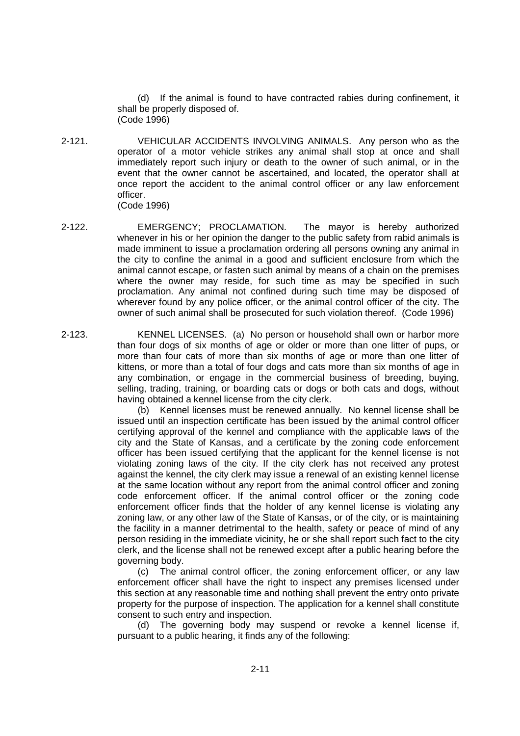(d) If the animal is found to have contracted rabies during confinement, it shall be properly disposed of. (Code 1996)

2-121. VEHICULAR ACCIDENTS INVOLVING ANIMALS. Any person who as the operator of a motor vehicle strikes any animal shall stop at once and shall immediately report such injury or death to the owner of such animal, or in the event that the owner cannot be ascertained, and located, the operator shall at once report the accident to the animal control officer or any law enforcement officer.

(Code 1996)

- 2-122. EMERGENCY; PROCLAMATION. The mayor is hereby authorized whenever in his or her opinion the danger to the public safety from rabid animals is made imminent to issue a proclamation ordering all persons owning any animal in the city to confine the animal in a good and sufficient enclosure from which the animal cannot escape, or fasten such animal by means of a chain on the premises where the owner may reside, for such time as may be specified in such proclamation. Any animal not confined during such time may be disposed of wherever found by any police officer, or the animal control officer of the city. The owner of such animal shall be prosecuted for such violation thereof. (Code 1996)
- 2-123. KENNEL LICENSES. (a) No person or household shall own or harbor more than four dogs of six months of age or older or more than one litter of pups, or more than four cats of more than six months of age or more than one litter of kittens, or more than a total of four dogs and cats more than six months of age in any combination, or engage in the commercial business of breeding, buying, selling, trading, training, or boarding cats or dogs or both cats and dogs, without having obtained a kennel license from the city clerk.

(b) Kennel licenses must be renewed annually. No kennel license shall be issued until an inspection certificate has been issued by the animal control officer certifying approval of the kennel and compliance with the applicable laws of the city and the State of Kansas, and a certificate by the zoning code enforcement officer has been issued certifying that the applicant for the kennel license is not violating zoning laws of the city. If the city clerk has not received any protest against the kennel, the city clerk may issue a renewal of an existing kennel license at the same location without any report from the animal control officer and zoning code enforcement officer. If the animal control officer or the zoning code enforcement officer finds that the holder of any kennel license is violating any zoning law, or any other law of the State of Kansas, or of the city, or is maintaining the facility in a manner detrimental to the health, safety or peace of mind of any person residing in the immediate vicinity, he or she shall report such fact to the city clerk, and the license shall not be renewed except after a public hearing before the governing body.

(c) The animal control officer, the zoning enforcement officer, or any law enforcement officer shall have the right to inspect any premises licensed under this section at any reasonable time and nothing shall prevent the entry onto private property for the purpose of inspection. The application for a kennel shall constitute consent to such entry and inspection.

(d) The governing body may suspend or revoke a kennel license if, pursuant to a public hearing, it finds any of the following: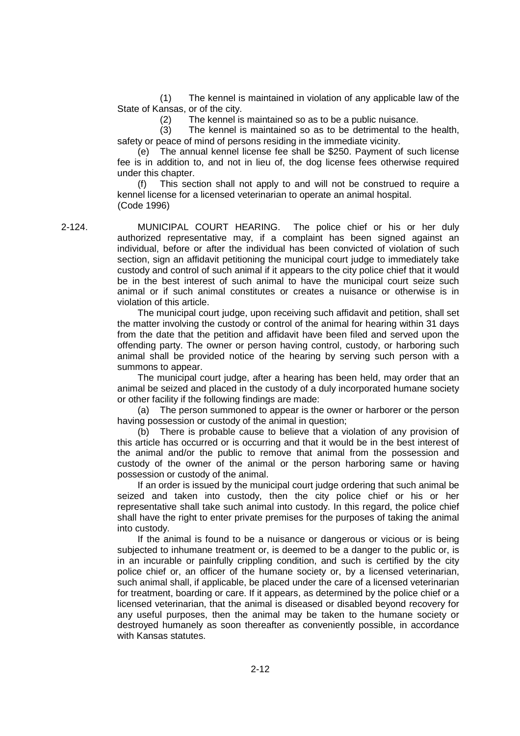(1) The kennel is maintained in violation of any applicable law of the State of Kansas, or of the city.

(2) The kennel is maintained so as to be a public nuisance.

(3) The kennel is maintained so as to be detrimental to the health, safety or peace of mind of persons residing in the immediate vicinity.

The annual kennel license fee shall be \$250. Payment of such license fee is in addition to, and not in lieu of, the dog license fees otherwise required under this chapter.

(f) This section shall not apply to and will not be construed to require a kennel license for a licensed veterinarian to operate an animal hospital. (Code 1996)

2-124. MUNICIPAL COURT HEARING. The police chief or his or her duly authorized representative may, if a complaint has been signed against an individual, before or after the individual has been convicted of violation of such section, sign an affidavit petitioning the municipal court judge to immediately take custody and control of such animal if it appears to the city police chief that it would be in the best interest of such animal to have the municipal court seize such animal or if such animal constitutes or creates a nuisance or otherwise is in violation of this article.

> The municipal court judge, upon receiving such affidavit and petition, shall set the matter involving the custody or control of the animal for hearing within 31 days from the date that the petition and affidavit have been filed and served upon the offending party. The owner or person having control, custody, or harboring such animal shall be provided notice of the hearing by serving such person with a summons to appear.

> The municipal court judge, after a hearing has been held, may order that an animal be seized and placed in the custody of a duly incorporated humane society or other facility if the following findings are made:

> (a) The person summoned to appear is the owner or harborer or the person having possession or custody of the animal in question;

> (b) There is probable cause to believe that a violation of any provision of this article has occurred or is occurring and that it would be in the best interest of the animal and/or the public to remove that animal from the possession and custody of the owner of the animal or the person harboring same or having possession or custody of the animal.

> If an order is issued by the municipal court judge ordering that such animal be seized and taken into custody, then the city police chief or his or her representative shall take such animal into custody. In this regard, the police chief shall have the right to enter private premises for the purposes of taking the animal into custody.

> If the animal is found to be a nuisance or dangerous or vicious or is being subjected to inhumane treatment or, is deemed to be a danger to the public or, is in an incurable or painfully crippling condition, and such is certified by the city police chief or, an officer of the humane society or, by a licensed veterinarian, such animal shall, if applicable, be placed under the care of a licensed veterinarian for treatment, boarding or care. If it appears, as determined by the police chief or a licensed veterinarian, that the animal is diseased or disabled beyond recovery for any useful purposes, then the animal may be taken to the humane society or destroyed humanely as soon thereafter as conveniently possible, in accordance with Kansas statutes.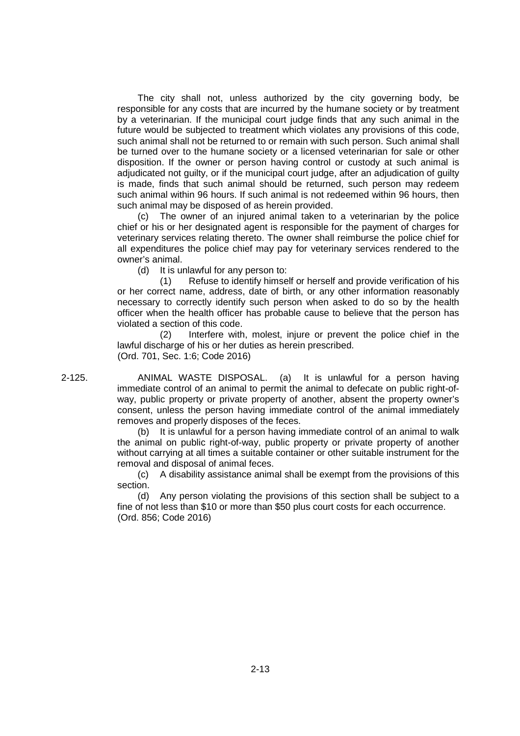The city shall not, unless authorized by the city governing body, be responsible for any costs that are incurred by the humane society or by treatment by a veterinarian. If the municipal court judge finds that any such animal in the future would be subjected to treatment which violates any provisions of this code, such animal shall not be returned to or remain with such person. Such animal shall be turned over to the humane society or a licensed veterinarian for sale or other disposition. If the owner or person having control or custody at such animal is adjudicated not guilty, or if the municipal court judge, after an adjudication of guilty is made, finds that such animal should be returned, such person may redeem such animal within 96 hours. If such animal is not redeemed within 96 hours, then such animal may be disposed of as herein provided.

(c) The owner of an injured animal taken to a veterinarian by the police chief or his or her designated agent is responsible for the payment of charges for veterinary services relating thereto. The owner shall reimburse the police chief for all expenditures the police chief may pay for veterinary services rendered to the owner's animal.

(d) It is unlawful for any person to:

(1) Refuse to identify himself or herself and provide verification of his or her correct name, address, date of birth, or any other information reasonably necessary to correctly identify such person when asked to do so by the health officer when the health officer has probable cause to believe that the person has violated a section of this code.

(2) Interfere with, molest, injure or prevent the police chief in the lawful discharge of his or her duties as herein prescribed. (Ord. 701, Sec. 1:6; Code 2016)

2-125. ANIMAL WASTE DISPOSAL. (a) It is unlawful for a person having immediate control of an animal to permit the animal to defecate on public right-ofway, public property or private property of another, absent the property owner's consent, unless the person having immediate control of the animal immediately removes and properly disposes of the feces.

> (b) It is unlawful for a person having immediate control of an animal to walk the animal on public right-of-way, public property or private property of another without carrying at all times a suitable container or other suitable instrument for the removal and disposal of animal feces.

> (c) A disability assistance animal shall be exempt from the provisions of this section.

> (d) Any person violating the provisions of this section shall be subject to a fine of not less than \$10 or more than \$50 plus court costs for each occurrence. (Ord. 856; Code 2016)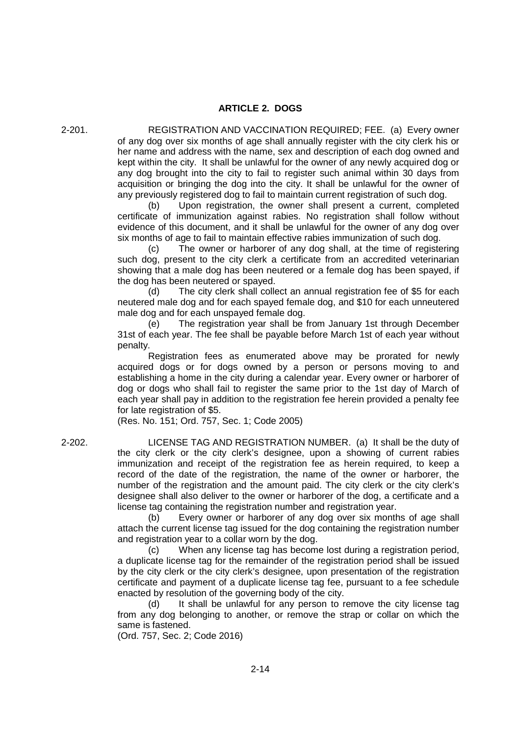#### **ARTICLE 2. DOGS**

2-201. REGISTRATION AND VACCINATION REQUIRED; FEE. (a) Every owner of any dog over six months of age shall annually register with the city clerk his or her name and address with the name, sex and description of each dog owned and kept within the city. It shall be unlawful for the owner of any newly acquired dog or any dog brought into the city to fail to register such animal within 30 days from acquisition or bringing the dog into the city. It shall be unlawful for the owner of any previously registered dog to fail to maintain current registration of such dog.

> (b) Upon registration, the owner shall present a current, completed certificate of immunization against rabies. No registration shall follow without evidence of this document, and it shall be unlawful for the owner of any dog over six months of age to fail to maintain effective rabies immunization of such dog.

> (c) The owner or harborer of any dog shall, at the time of registering such dog, present to the city clerk a certificate from an accredited veterinarian showing that a male dog has been neutered or a female dog has been spayed, if the dog has been neutered or spayed.

> (d) The city clerk shall collect an annual registration fee of \$5 for each neutered male dog and for each spayed female dog, and \$10 for each unneutered male dog and for each unspayed female dog.

> (e) The registration year shall be from January 1st through December 31st of each year. The fee shall be payable before March 1st of each year without penalty.

> Registration fees as enumerated above may be prorated for newly acquired dogs or for dogs owned by a person or persons moving to and establishing a home in the city during a calendar year. Every owner or harborer of dog or dogs who shall fail to register the same prior to the 1st day of March of each year shall pay in addition to the registration fee herein provided a penalty fee for late registration of \$5.

(Res. No. 151; Ord. 757, Sec. 1; Code 2005)

2-202. LICENSE TAG AND REGISTRATION NUMBER. (a) It shall be the duty of the city clerk or the city clerk's designee, upon a showing of current rabies immunization and receipt of the registration fee as herein required, to keep a record of the date of the registration, the name of the owner or harborer, the number of the registration and the amount paid. The city clerk or the city clerk's designee shall also deliver to the owner or harborer of the dog, a certificate and a license tag containing the registration number and registration year.

> (b) Every owner or harborer of any dog over six months of age shall attach the current license tag issued for the dog containing the registration number and registration year to a collar worn by the dog.

> (c) When any license tag has become lost during a registration period, a duplicate license tag for the remainder of the registration period shall be issued by the city clerk or the city clerk's designee, upon presentation of the registration certificate and payment of a duplicate license tag fee, pursuant to a fee schedule enacted by resolution of the governing body of the city.

> (d) It shall be unlawful for any person to remove the city license tag from any dog belonging to another, or remove the strap or collar on which the same is fastened.

(Ord. 757, Sec. 2; Code 2016)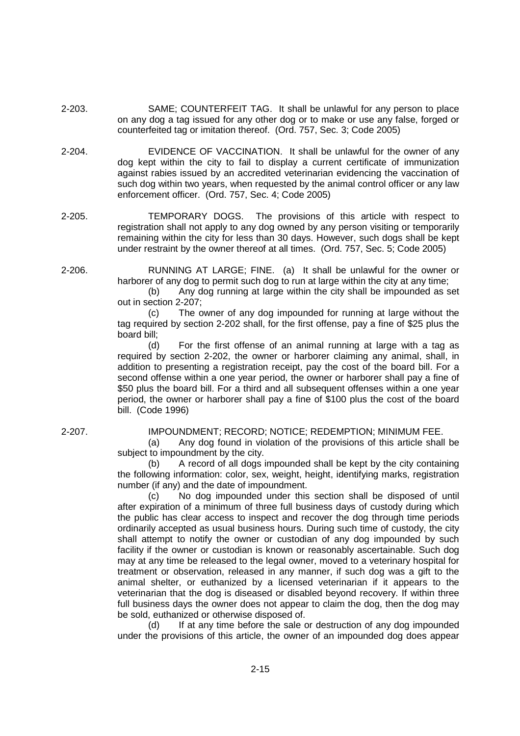- 2-203. SAME; COUNTERFEIT TAG. It shall be unlawful for any person to place on any dog a tag issued for any other dog or to make or use any false, forged or counterfeited tag or imitation thereof. (Ord. 757, Sec. 3; Code 2005)
- 2-204. EVIDENCE OF VACCINATION. It shall be unlawful for the owner of any dog kept within the city to fail to display a current certificate of immunization against rabies issued by an accredited veterinarian evidencing the vaccination of such dog within two years, when requested by the animal control officer or any law enforcement officer. (Ord. 757, Sec. 4; Code 2005)
- 2-205. TEMPORARY DOGS. The provisions of this article with respect to registration shall not apply to any dog owned by any person visiting or temporarily remaining within the city for less than 30 days. However, such dogs shall be kept under restraint by the owner thereof at all times. (Ord. 757, Sec. 5; Code 2005)
- 2-206. RUNNING AT LARGE; FINE. (a) It shall be unlawful for the owner or harborer of any dog to permit such dog to run at large within the city at any time;

(b) Any dog running at large within the city shall be impounded as set out in section 2-207;

(c) The owner of any dog impounded for running at large without the tag required by section 2-202 shall, for the first offense, pay a fine of \$25 plus the board bill;

(d) For the first offense of an animal running at large with a tag as required by section 2-202, the owner or harborer claiming any animal, shall, in addition to presenting a registration receipt, pay the cost of the board bill. For a second offense within a one year period, the owner or harborer shall pay a fine of \$50 plus the board bill. For a third and all subsequent offenses within a one year period, the owner or harborer shall pay a fine of \$100 plus the cost of the board bill. (Code 1996)

2-207. IMPOUNDMENT; RECORD; NOTICE; REDEMPTION; MINIMUM FEE.

(a) Any dog found in violation of the provisions of this article shall be subject to impoundment by the city.

(b) A record of all dogs impounded shall be kept by the city containing the following information: color, sex, weight, height, identifying marks, registration number (if any) and the date of impoundment.

(c) No dog impounded under this section shall be disposed of until after expiration of a minimum of three full business days of custody during which the public has clear access to inspect and recover the dog through time periods ordinarily accepted as usual business hours. During such time of custody, the city shall attempt to notify the owner or custodian of any dog impounded by such facility if the owner or custodian is known or reasonably ascertainable. Such dog may at any time be released to the legal owner, moved to a veterinary hospital for treatment or observation, released in any manner, if such dog was a gift to the animal shelter, or euthanized by a licensed veterinarian if it appears to the veterinarian that the dog is diseased or disabled beyond recovery. If within three full business days the owner does not appear to claim the dog, then the dog may be sold, euthanized or otherwise disposed of.

(d) If at any time before the sale or destruction of any dog impounded under the provisions of this article, the owner of an impounded dog does appear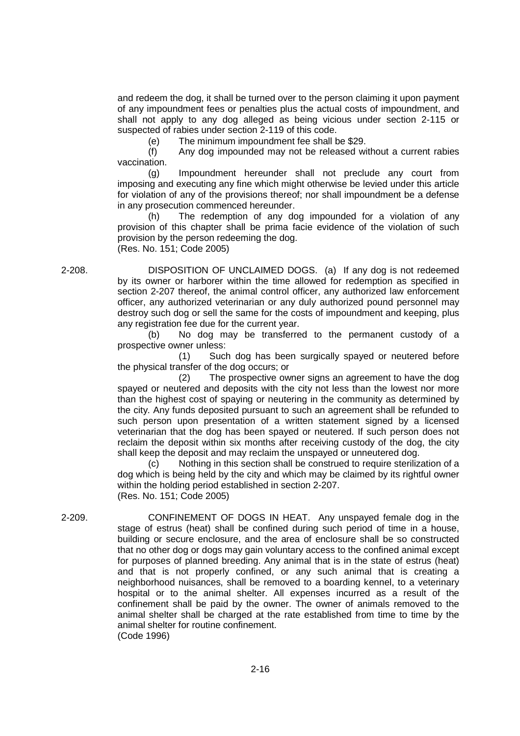and redeem the dog, it shall be turned over to the person claiming it upon payment of any impoundment fees or penalties plus the actual costs of impoundment, and shall not apply to any dog alleged as being vicious under section 2-115 or suspected of rabies under section 2-119 of this code.

(e) The minimum impoundment fee shall be \$29.

(f) Any dog impounded may not be released without a current rabies vaccination.

(g) Impoundment hereunder shall not preclude any court from imposing and executing any fine which might otherwise be levied under this article for violation of any of the provisions thereof; nor shall impoundment be a defense in any prosecution commenced hereunder.

(h) The redemption of any dog impounded for a violation of any provision of this chapter shall be prima facie evidence of the violation of such provision by the person redeeming the dog. (Res. No. 151; Code 2005)

2-208. DISPOSITION OF UNCLAIMED DOGS. (a) If any dog is not redeemed by its owner or harborer within the time allowed for redemption as specified in section 2-207 thereof, the animal control officer, any authorized law enforcement officer, any authorized veterinarian or any duly authorized pound personnel may destroy such dog or sell the same for the costs of impoundment and keeping, plus any registration fee due for the current year.

> (b) No dog may be transferred to the permanent custody of a prospective owner unless:

> (1) Such dog has been surgically spayed or neutered before the physical transfer of the dog occurs; or

> (2) The prospective owner signs an agreement to have the dog spayed or neutered and deposits with the city not less than the lowest nor more than the highest cost of spaying or neutering in the community as determined by the city. Any funds deposited pursuant to such an agreement shall be refunded to such person upon presentation of a written statement signed by a licensed veterinarian that the dog has been spayed or neutered. If such person does not reclaim the deposit within six months after receiving custody of the dog, the city shall keep the deposit and may reclaim the unspayed or unneutered dog.

> (c) Nothing in this section shall be construed to require sterilization of a dog which is being held by the city and which may be claimed by its rightful owner within the holding period established in section 2-207. (Res. No. 151; Code 2005)

2-209. CONFINEMENT OF DOGS IN HEAT. Any unspayed female dog in the stage of estrus (heat) shall be confined during such period of time in a house, building or secure enclosure, and the area of enclosure shall be so constructed that no other dog or dogs may gain voluntary access to the confined animal except for purposes of planned breeding. Any animal that is in the state of estrus (heat) and that is not properly confined, or any such animal that is creating a neighborhood nuisances, shall be removed to a boarding kennel, to a veterinary hospital or to the animal shelter. All expenses incurred as a result of the confinement shall be paid by the owner. The owner of animals removed to the animal shelter shall be charged at the rate established from time to time by the animal shelter for routine confinement. (Code 1996)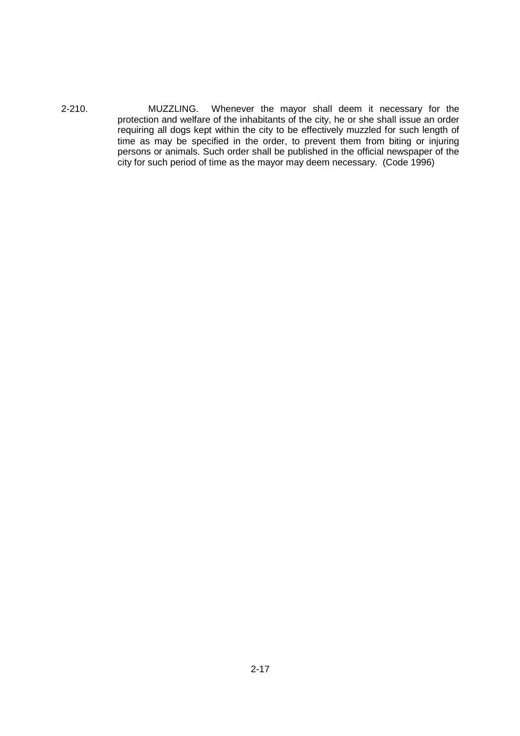2-210. MUZZLING. Whenever the mayor shall deem it necessary for the protection and welfare of the inhabitants of the city, he or she shall issue an order requiring all dogs kept within the city to be effectively muzzled for such length of time as may be specified in the order, to prevent them from biting or injuring persons or animals. Such order shall be published in the official newspaper of the city for such period of time as the mayor may deem necessary. (Code 1996)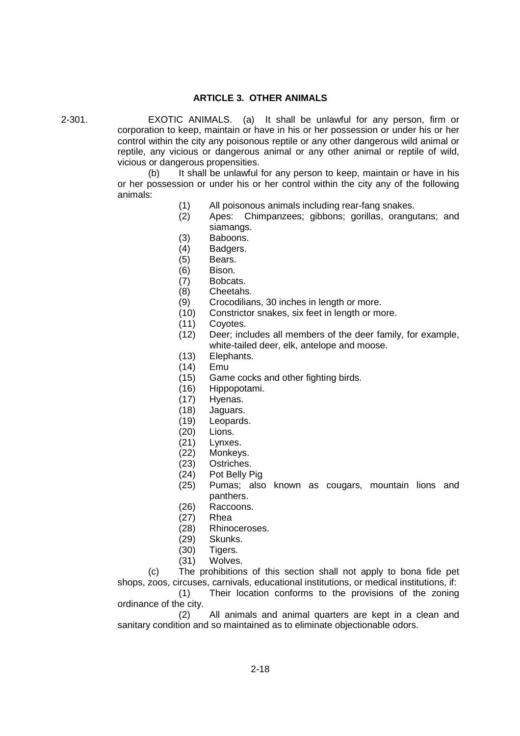### **ARTICLE 3. OTHER ANIMALS**

2-301. EXOTIC ANIMALS. (a) It shall be unlawful for any person, firm or corporation to keep, maintain or have in his or her possession or under his or her control within the city any poisonous reptile or any other dangerous wild animal or reptile, any vicious or dangerous animal or any other animal or reptile of wild, vicious or dangerous propensities.

> (b) It shall be unlawful for any person to keep, maintain or have in his or her possession or under his or her control within the city any of the following animals:

- (1) All poisonous animals including rear-fang snakes.
- (2) Apes: Chimpanzees; gibbons; gorillas, orangutans; and siamangs.
- (3) Baboons.
- (4) Badgers.
- (5) Bears.
- (6) Bison.
- (7) Bobcats.
- (8) Cheetahs.
- (9) Crocodilians, 30 inches in length or more.
- (10) Constrictor snakes, six feet in length or more.
- (11) Coyotes.
- (12) Deer; includes all members of the deer family, for example, white-tailed deer, elk, antelope and moose.
- (13) Elephants.
- (14) Emu
- (15) Game cocks and other fighting birds.
- (16) Hippopotami.
- (17) Hyenas.
- (18) Jaguars.
- (19) Leopards.
- (20) Lions.
- (21) Lynxes.
- (22) Monkeys.
- (23) Ostriches.
- (24) Pot Belly Pig
- (25) Pumas; also known as cougars, mountain lions and panthers.
- (26) Raccoons.
- (27) Rhea
- (28) Rhinoceroses.
- (29) Skunks.
- (30) Tigers.
- (31) Wolves.

(c) The prohibitions of this section shall not apply to bona fide pet shops, zoos, circuses, carnivals, educational institutions, or medical institutions, if:

(1) Their location conforms to the provisions of the zoning ordinance of the city.

(2) All animals and animal quarters are kept in a clean and sanitary condition and so maintained as to eliminate objectionable odors.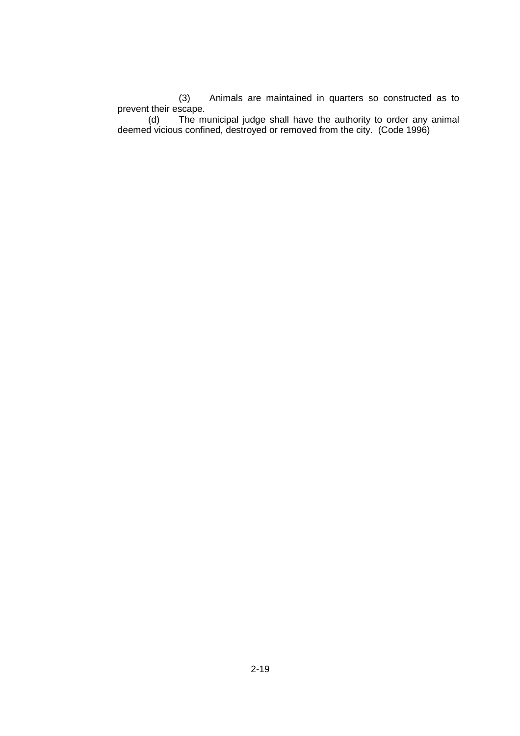(3) Animals are maintained in quarters so constructed as to prevent their escape.

(d) The municipal judge shall have the authority to order any animal deemed vicious confined, destroyed or removed from the city. (Code 1996)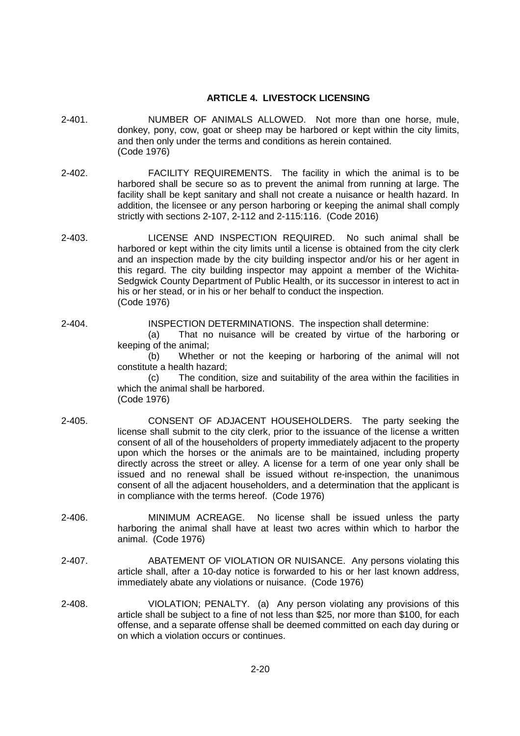## **ARTICLE 4. LIVESTOCK LICENSING**

- 2-401. NUMBER OF ANIMALS ALLOWED. Not more than one horse, mule, donkey, pony, cow, goat or sheep may be harbored or kept within the city limits, and then only under the terms and conditions as herein contained. (Code 1976)
- 2-402. FACILITY REQUIREMENTS. The facility in which the animal is to be harbored shall be secure so as to prevent the animal from running at large. The facility shall be kept sanitary and shall not create a nuisance or health hazard. In addition, the licensee or any person harboring or keeping the animal shall comply strictly with sections 2-107, 2-112 and 2-115:116. (Code 2016)
- 2-403. LICENSE AND INSPECTION REQUIRED. No such animal shall be harbored or kept within the city limits until a license is obtained from the city clerk and an inspection made by the city building inspector and/or his or her agent in this regard. The city building inspector may appoint a member of the Wichita-Sedgwick County Department of Public Health, or its successor in interest to act in his or her stead, or in his or her behalf to conduct the inspection. (Code 1976)

# 2-404. INSPECTION DETERMINATIONS. The inspection shall determine:

(a) That no nuisance will be created by virtue of the harboring or keeping of the animal;

(b) Whether or not the keeping or harboring of the animal will not constitute a health hazard;

(c) The condition, size and suitability of the area within the facilities in which the animal shall be harbored. (Code 1976)

- 2-405. CONSENT OF ADJACENT HOUSEHOLDERS. The party seeking the license shall submit to the city clerk, prior to the issuance of the license a written consent of all of the householders of property immediately adjacent to the property upon which the horses or the animals are to be maintained, including property directly across the street or alley. A license for a term of one year only shall be issued and no renewal shall be issued without re-inspection, the unanimous consent of all the adjacent householders, and a determination that the applicant is in compliance with the terms hereof. (Code 1976)
- 2-406. MINIMUM ACREAGE. No license shall be issued unless the party harboring the animal shall have at least two acres within which to harbor the animal. (Code 1976)
- 2-407. ABATEMENT OF VIOLATION OR NUISANCE. Any persons violating this article shall, after a 10-day notice is forwarded to his or her last known address, immediately abate any violations or nuisance. (Code 1976)
- 2-408. VIOLATION; PENALTY. (a) Any person violating any provisions of this article shall be subject to a fine of not less than \$25, nor more than \$100, for each offense, and a separate offense shall be deemed committed on each day during or on which a violation occurs or continues.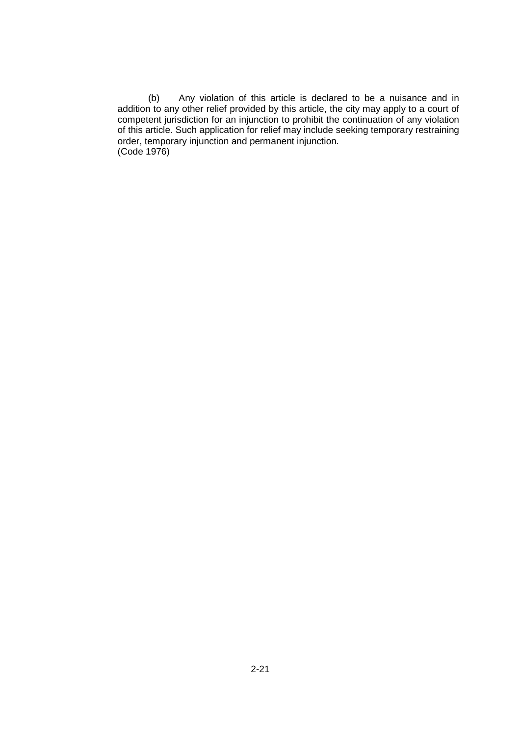(b) Any violation of this article is declared to be a nuisance and in addition to any other relief provided by this article, the city may apply to a court of competent jurisdiction for an injunction to prohibit the continuation of any violation of this article. Such application for relief may include seeking temporary restraining order, temporary injunction and permanent injunction. (Code 1976)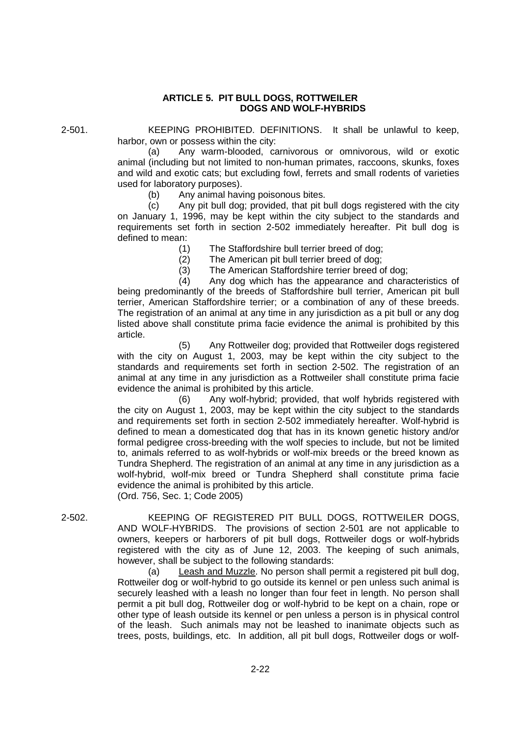## **ARTICLE 5. PIT BULL DOGS, ROTTWEILER DOGS AND WOLF-HYBRIDS**

2-501. KEEPING PROHIBITED. DEFINITIONS. It shall be unlawful to keep, harbor, own or possess within the city:

> (a) Any warm-blooded, carnivorous or omnivorous, wild or exotic animal (including but not limited to non-human primates, raccoons, skunks, foxes and wild and exotic cats; but excluding fowl, ferrets and small rodents of varieties used for laboratory purposes).

(b) Any animal having poisonous bites.

(c) Any pit bull dog; provided, that pit bull dogs registered with the city on January 1, 1996, may be kept within the city subject to the standards and requirements set forth in section 2-502 immediately hereafter. Pit bull dog is defined to mean:

(1) The Staffordshire bull terrier breed of dog;

(2) The American pit bull terrier breed of dog;

(3) The American Staffordshire terrier breed of dog;

(4) Any dog which has the appearance and characteristics of being predominantly of the breeds of Staffordshire bull terrier, American pit bull terrier, American Staffordshire terrier; or a combination of any of these breeds. The registration of an animal at any time in any jurisdiction as a pit bull or any dog listed above shall constitute prima facie evidence the animal is prohibited by this article.

(5) Any Rottweiler dog; provided that Rottweiler dogs registered with the city on August 1, 2003, may be kept within the city subject to the standards and requirements set forth in section 2-502. The registration of an animal at any time in any jurisdiction as a Rottweiler shall constitute prima facie evidence the animal is prohibited by this article.

(6) Any wolf-hybrid; provided, that wolf hybrids registered with the city on August 1, 2003, may be kept within the city subject to the standards and requirements set forth in section 2-502 immediately hereafter. Wolf-hybrid is defined to mean a domesticated dog that has in its known genetic history and/or formal pedigree cross-breeding with the wolf species to include, but not be limited to, animals referred to as wolf-hybrids or wolf-mix breeds or the breed known as Tundra Shepherd. The registration of an animal at any time in any jurisdiction as a wolf-hybrid, wolf-mix breed or Tundra Shepherd shall constitute prima facie evidence the animal is prohibited by this article.

(Ord. 756, Sec. 1; Code 2005)

2-502. KEEPING OF REGISTERED PIT BULL DOGS, ROTTWEILER DOGS, AND WOLF-HYBRIDS. The provisions of section 2-501 are not applicable to owners, keepers or harborers of pit bull dogs, Rottweiler dogs or wolf-hybrids registered with the city as of June 12, 2003. The keeping of such animals, however, shall be subject to the following standards:

> (a) Leash and Muzzle. No person shall permit a registered pit bull dog, Rottweiler dog or wolf-hybrid to go outside its kennel or pen unless such animal is securely leashed with a leash no longer than four feet in length. No person shall permit a pit bull dog, Rottweiler dog or wolf-hybrid to be kept on a chain, rope or other type of leash outside its kennel or pen unless a person is in physical control of the leash. Such animals may not be leashed to inanimate objects such as trees, posts, buildings, etc. In addition, all pit bull dogs, Rottweiler dogs or wolf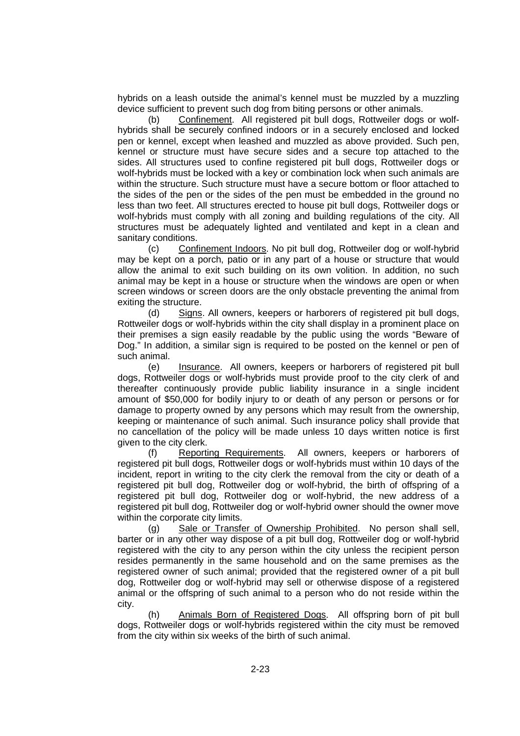hybrids on a leash outside the animal's kennel must be muzzled by a muzzling device sufficient to prevent such dog from biting persons or other animals.

(b) Confinement. All registered pit bull dogs, Rottweiler dogs or wolfhybrids shall be securely confined indoors or in a securely enclosed and locked pen or kennel, except when leashed and muzzled as above provided. Such pen, kennel or structure must have secure sides and a secure top attached to the sides. All structures used to confine registered pit bull dogs, Rottweiler dogs or wolf-hybrids must be locked with a key or combination lock when such animals are within the structure. Such structure must have a secure bottom or floor attached to the sides of the pen or the sides of the pen must be embedded in the ground no less than two feet. All structures erected to house pit bull dogs, Rottweiler dogs or wolf-hybrids must comply with all zoning and building regulations of the city. All structures must be adequately lighted and ventilated and kept in a clean and sanitary conditions.

(c) Confinement Indoors. No pit bull dog, Rottweiler dog or wolf-hybrid may be kept on a porch, patio or in any part of a house or structure that would allow the animal to exit such building on its own volition. In addition, no such animal may be kept in a house or structure when the windows are open or when screen windows or screen doors are the only obstacle preventing the animal from exiting the structure.

(d) Signs. All owners, keepers or harborers of registered pit bull dogs, Rottweiler dogs or wolf-hybrids within the city shall display in a prominent place on their premises a sign easily readable by the public using the words "Beware of Dog." In addition, a similar sign is required to be posted on the kennel or pen of such animal.

(e) Insurance. All owners, keepers or harborers of registered pit bull dogs, Rottweiler dogs or wolf-hybrids must provide proof to the city clerk of and thereafter continuously provide public liability insurance in a single incident amount of \$50,000 for bodily injury to or death of any person or persons or for damage to property owned by any persons which may result from the ownership, keeping or maintenance of such animal. Such insurance policy shall provide that no cancellation of the policy will be made unless 10 days written notice is first given to the city clerk.

(f) Reporting Requirements. All owners, keepers or harborers of registered pit bull dogs, Rottweiler dogs or wolf-hybrids must within 10 days of the incident, report in writing to the city clerk the removal from the city or death of a registered pit bull dog, Rottweiler dog or wolf-hybrid, the birth of offspring of a registered pit bull dog, Rottweiler dog or wolf-hybrid, the new address of a registered pit bull dog, Rottweiler dog or wolf-hybrid owner should the owner move within the corporate city limits.

(g) Sale or Transfer of Ownership Prohibited. No person shall sell, barter or in any other way dispose of a pit bull dog, Rottweiler dog or wolf-hybrid registered with the city to any person within the city unless the recipient person resides permanently in the same household and on the same premises as the registered owner of such animal; provided that the registered owner of a pit bull dog, Rottweiler dog or wolf-hybrid may sell or otherwise dispose of a registered animal or the offspring of such animal to a person who do not reside within the city.

(h) Animals Born of Registered Dogs. All offspring born of pit bull dogs, Rottweiler dogs or wolf-hybrids registered within the city must be removed from the city within six weeks of the birth of such animal.